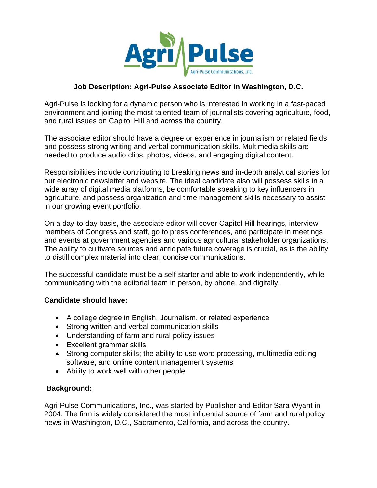

## **Job Description: Agri-Pulse Associate Editor in Washington, D.C.**

Agri-Pulse is looking for a dynamic person who is interested in working in a fast-paced environment and joining the most talented team of journalists covering agriculture, food, and rural issues on Capitol Hill and across the country.

The associate editor should have a degree or experience in journalism or related fields and possess strong writing and verbal communication skills. Multimedia skills are needed to produce audio clips, photos, videos, and engaging digital content.

Responsibilities include contributing to breaking news and in-depth analytical stories for our electronic newsletter and website. The ideal candidate also will possess skills in a wide array of digital media platforms, be comfortable speaking to key influencers in agriculture, and possess organization and time management skills necessary to assist in our growing event portfolio.

On a day-to-day basis, the associate editor will cover Capitol Hill hearings, interview members of Congress and staff, go to press conferences, and participate in meetings and events at government agencies and various agricultural stakeholder organizations. The ability to cultivate sources and anticipate future coverage is crucial, as is the ability to distill complex material into clear, concise communications.

The successful candidate must be a self-starter and able to work independently, while communicating with the editorial team in person, by phone, and digitally.

## **Candidate should have:**

- A college degree in English, Journalism, or related experience
- Strong written and verbal communication skills
- Understanding of farm and rural policy issues
- Excellent grammar skills
- Strong computer skills; the ability to use word processing, multimedia editing software, and online content management systems
- Ability to work well with other people

## **Background:**

Agri-Pulse Communications, Inc., was started by Publisher and Editor Sara Wyant in 2004. The firm is widely considered the most influential source of farm and rural policy news in Washington, D.C., Sacramento, California, and across the country.